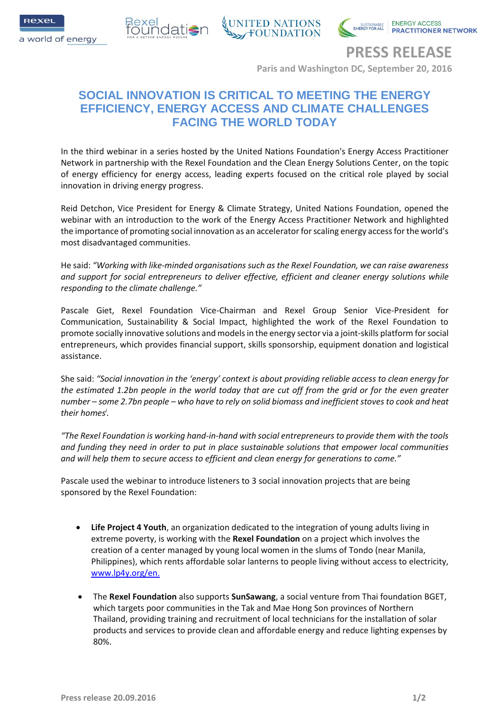



**IONER NETWORK** 

**PRESS RELEASE**

**Paris and Washington DC, September 20, 2016**

# **SOCIAL INNOVATION IS CRITICAL TO MEETING THE ENERGY EFFICIENCY, ENERGY ACCESS AND CLIMATE CHALLENGES FACING THE WORLD TODAY**

In the third webinar in a series hosted by the United Nations Foundation's Energy Access Practitioner Network in partnership with the Rexel Foundation and the Clean Energy Solutions Center, on the topic of energy efficiency for energy access, leading experts focused on the critical role played by social innovation in driving energy progress.

Reid Detchon, Vice President for Energy & Climate Strategy, United Nations Foundation, opened the webinar with an introduction to the work of the Energy Access Practitioner Network and highlighted the importance of promoting social innovation as an accelerator for scaling energy access for the world's most disadvantaged communities.

He said: *"Working with like-minded organisations such as the Rexel Foundation, we can raise awareness and support for social entrepreneurs to deliver effective, efficient and cleaner energy solutions while responding to the climate challenge."*

Pascale Giet, Rexel Foundation Vice-Chairman and Rexel Group Senior Vice-President for Communication, Sustainability & Social Impact, highlighted the work of the Rexel Foundation to promote socially innovative solutions and models in the energy sector via a joint-skills platform for social entrepreneurs, which provides financial support, skills sponsorship, equipment donation and logistical assistance.

She said: *"Social innovation in the 'energy' context is about providing reliable access to clean energy for the estimated 1.2bn people in the world today that are cut off from the grid or for the even greater number – some 2.7bn people – who have to rely on solid biomass and inefficient stoves to cook and heat their homes<sup>i</sup> .*

*"The Rexel Foundation is working hand-in-hand with social entrepreneurs to provide them with the tools and funding they need in order to put in place sustainable solutions that empower local communities and will help them to secure access to efficient and clean energy for generations to come."*

Pascale used the webinar to introduce listeners to 3 social innovation projects that are being sponsored by the Rexel Foundation:

- **Life Project 4 Youth**, an organization dedicated to the integration of young adults living in extreme poverty, is working with the **Rexel Foundation** on a project which involves the creation of a center managed by young local women in the slums of Tondo (near Manila, Philippines), which rents affordable solar lanterns to people living without access to electricity, [www.lp4y.org/en.](http://www.lp4y.org/en)
- The **Rexel Foundation** also supports **SunSawang**, a social venture from Thai foundation BGET, which targets poor communities in the Tak and Mae Hong Son provinces of Northern Thailand, providing training and recruitment of local technicians for the installation of solar products and services to provide clean and affordable energy and reduce lighting expenses by 80%.